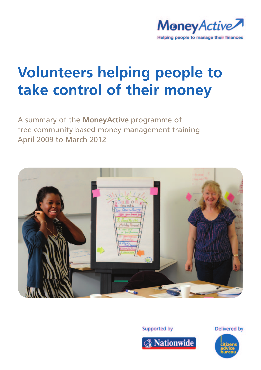

# **Volunteers helping people to take control of their money**

A summary of the **MoneyActive** programme of free community based money management training April 2009 to March 2012



**Supported by** 



**Delivered by** 

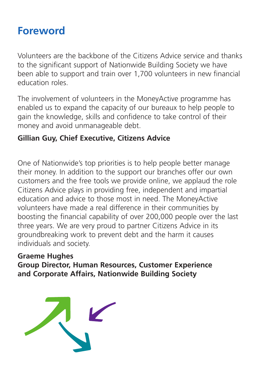### **Foreword**

Volunteers are the backbone of the Citizens Advice service and thanks to the significant support of Nationwide Building Society we have been able to support and train over 1,700 volunteers in new financial education roles.

The involvement of volunteers in the MoneyActive programme has enabled us to expand the capacity of our bureaux to help people to gain the knowledge, skills and confidence to take control of their money and avoid unmanageable debt.

### **Gillian Guy, Chief Executive, Citizens Advice**

One of Nationwide's top priorities is to help people better manage their money. In addition to the support our branches offer our own customers and the free tools we provide online, we applaud the role Citizens Advice plays in providing free, independent and impartial education and advice to those most in need. The MoneyActive volunteers have made a real difference in their communities by boosting the financial capability of over 200,000 people over the last three years. We are very proud to partner Citizens Advice in its groundbreaking work to prevent debt and the harm it causes individuals and society.

### **Graeme Hughes Group Director, Human Resources, Customer Experience and Corporate Affairs, Nationwide Building Society**

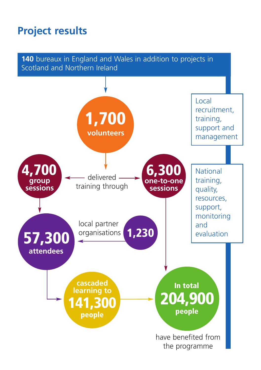### **Project results**

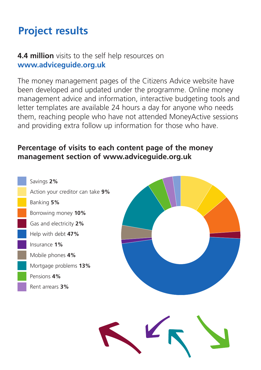# **Project results**

### **4.4 million** visits to the self help resources on **www.adviceguide.org.uk**

The money management pages of the Citizens Advice website have been developed and updated under the programme. Online money management advice and information, interactive budgeting tools and letter templates are available 24 hours a day for anyone who needs them, reaching people who have not attended MoneyActive sessions and providing extra follow up information for those who have.

### **Percentage of visits to each content page of the money management section of www.adviceguide.org.uk**



Savings **2%** Action your creditor can take **9%** Banking **5%** Borrowing money **10%** Gas and electricity **2%** Help with debt **47%** Insurance **1%** Mobile phones **4%** Mortgage problems **13%** Pensions **4%** Rent arrears **3%**

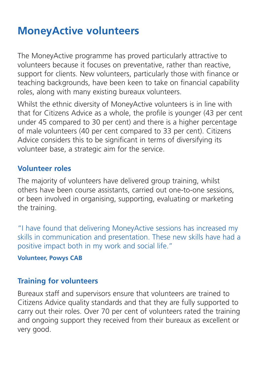### **MoneyActive volunteers**

The MoneyActive programme has proved particularly attractive to volunteers because it focuses on preventative, rather than reactive, support for clients. New volunteers, particularly those with finance or teaching backgrounds, have been keen to take on financial capability roles, along with many existing bureaux volunteers.

Whilst the ethnic diversity of MoneyActive volunteers is in line with that for Citizens Advice as a whole, the profile is younger (43 per cent under 45 compared to 30 per cent) and there is a higher percentage of male volunteers (40 per cent compared to 33 per cent). Citizens Advice considers this to be significant in terms of diversifying its volunteer base, a strategic aim for the service.

### **Volunteer roles**

The majority of volunteers have delivered group training, whilst others have been course assistants, carried out one-to-one sessions, or been involved in organising, supporting, evaluating or marketing the training.

"I have found that delivering MoneyActive sessions has increased my skills in communication and presentation. These new skills have had a positive impact both in my work and social life."

#### **Volunteer, Powys CAB**

### **Training for volunteers**

Bureaux staff and supervisors ensure that volunteers are trained to Citizens Advice quality standards and that they are fully supported to carry out their roles. Over 70 per cent of volunteers rated the training and ongoing support they received from their bureaux as excellent or very good.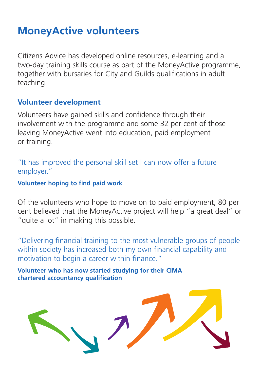### **MoneyActive volunteers**

Citizens Advice has developed online resources, e-learning and a two-day training skills course as part of the MoneyActive programme, together with bursaries for City and Guilds qualifications in adult teaching.

#### **Volunteer development**

Volunteers have gained skills and confidence through their involvement with the programme and some 32 per cent of those leaving MoneyActive went into education, paid employment or training.

"It has improved the personal skill set I can now offer a future employer."

**Volunteer hoping to find paid work**

Of the volunteers who hope to move on to paid employment, 80 per cent believed that the MoneyActive project will help "a great deal" or "quite a lot" in making this possible.

"Delivering financial training to the most vulnerable groups of people within society has increased both my own financial capability and motivation to begin a career within finance."

**Volunteer who has now started studying for their CIMA chartered accountancy qualification**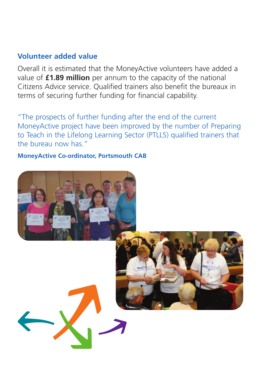#### **Volunteer added value**

Overall it is estimated that the MoneyActive volunteers have added a value of **£1.89 million** per annum to the capacity of the national Citizens Advice service. Qualified trainers also benefit the bureaux in terms of securing further funding for financial capability.

"The prospects of further funding after the end of the current MoneyActive project have been improved by the number of Preparing to Teach in the Lifelong Learning Sector (PTLLS) qualified trainers that the bureau now has."

**MoneyActive Co-ordinator, Portsmouth CAB**

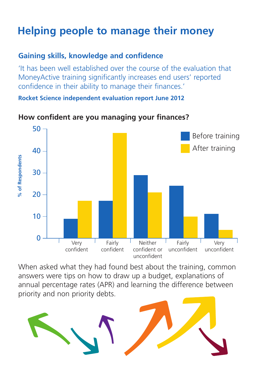# **Helping people to manage their money**

### **Gaining skills, knowledge and confidence**

'It has been well established over the course of the evaluation that MoneyActive training significantly increases end users' reported confidence in their ability to manage their finances.'

**Rocket Science independent evaluation report June 2012** 

#### **How confident are you managing your finances?**



When asked what they had found best about the training, common answers were tips on how to draw up a budget, explanations of annual percentage rates (APR) and learning the difference between priority and non priority debts.

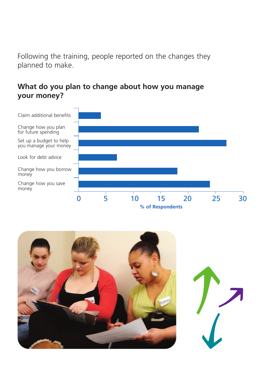Following the training, people reported on the changes they planned to make.

### **What do you plan to change about how you manage your money?**



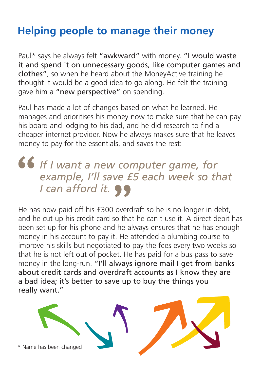# **Helping people to manage their money**

Paul\* says he always felt "awkward" with money. "I would waste it and spend it on unnecessary goods, like computer games and clothes", so when he heard about the MoneyActive training he thought it would be a good idea to go along. He felt the training gave him a "new perspective" on spending.

Paul has made a lot of changes based on what he learned. He manages and prioritises his money now to make sure that he can pay his board and lodging to his dad, and he did research to find a cheaper internet provider. Now he always makes sure that he leaves money to pay for the essentials, and saves the rest:

### *If I want a new computer game, for example, I'll save £5 each week so that*  " *I* can afford it.

He has now paid off his £300 overdraft so he is no longer in debt, and he cut up his credit card so that he can't use it. A direct debit has been set up for his phone and he always ensures that he has enough money in his account to pay it. He attended a plumbing course to improve his skills but negotiated to pay the fees every two weeks so that he is not left out of pocket. He has paid for a bus pass to save money in the long-run. "I'll always ignore mail I get from banks about credit cards and overdraft accounts as I know they are a bad idea; it's better to save up to buy the things you really want."

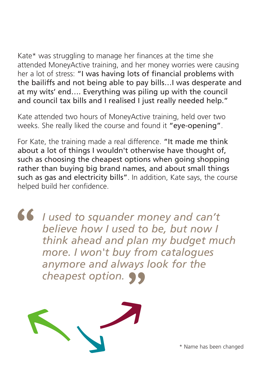Kate\* was struggling to manage her finances at the time she attended MoneyActive training, and her money worries were causing her a lot of stress: "I was having lots of financial problems with the bailiffs and not being able to pay bills…I was desperate and at my wits' end…. Everything was piling up with the council and council tax bills and I realised I just really needed help."

Kate attended two hours of MoneyActive training, held over two weeks. She really liked the course and found it "eye-opening".

For Kate, the training made a real difference. "It made me think about a lot of things I wouldn't otherwise have thought of, such as choosing the cheapest options when going shopping rather than buying big brand names, and about small things such as gas and electricity bills". In addition, Kate says, the course helped build her confidence.

*I used to squander money and can't believe how I used to be, but now I think ahead and plan my budget much more. I won't buy from catalogues anymore and always look for the cheapest option.* " "



\* Name has been changed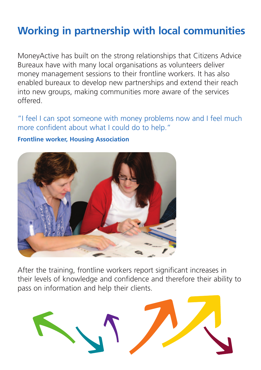# **Working in partnership with local communities**

MoneyActive has built on the strong relationships that Citizens Advice Bureaux have with many local organisations as volunteers deliver money management sessions to their frontline workers. It has also enabled bureaux to develop new partnerships and extend their reach into new groups, making communities more aware of the services offered.

"I feel I can spot someone with money problems now and I feel much more confident about what I could do to help."

#### **Frontline worker, Housing Association**



After the training, frontline workers report significant increases in their levels of knowledge and confidence and therefore their ability to pass on information and help their clients.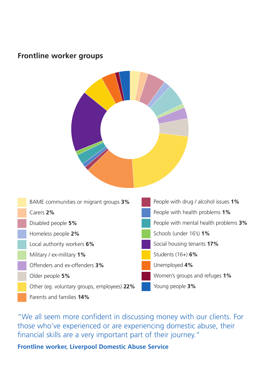#### **Frontline worker groups**





"We all seem more confident in discussing money with our clients. For those who've experienced or are experiencing domestic abuse, their financial skills are a very important part of their journey."

**Frontline worker, Liverpool Domestic Abuse Service**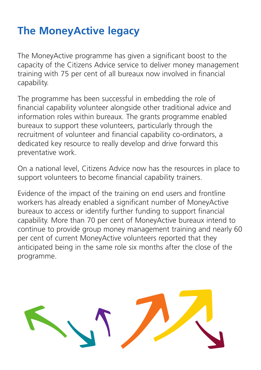# **The MoneyActive legacy**

The MoneyActive programme has given a significant boost to the capacity of the Citizens Advice service to deliver money management training with 75 per cent of all bureaux now involved in financial capability.

The programme has been successful in embedding the role of financial capability volunteer alongside other traditional advice and information roles within bureaux. The grants programme enabled bureaux to support these volunteers, particularly through the recruitment of volunteer and financial capability co-ordinators, a dedicated key resource to really develop and drive forward this preventative work.

On a national level, Citizens Advice now has the resources in place to support volunteers to become financial capability trainers.

Evidence of the impact of the training on end users and frontline workers has already enabled a significant number of MoneyActive bureaux to access or identify further funding to support financial capability. More than 70 per cent of MoneyActive bureaux intend to continue to provide group money management training and nearly 60 per cent of current MoneyActive volunteers reported that they anticipated being in the same role six months after the close of the programme.

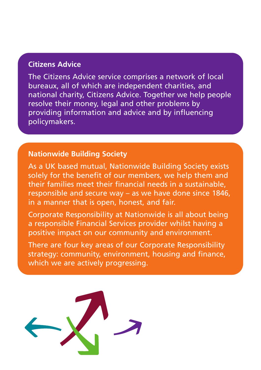### **Citizens Advice**

The Citizens Advice service comprises a network of local bureaux, all of which are independent charities, and national charity, Citizens Advice. Together we help people resolve their money, legal and other problems by providing information and advice and by influencing policymakers.

### **Nationwide Building Society**

As a UK based mutual, Nationwide Building Society exists solely for the benefit of our members, we help them and their families meet their financial needs in a sustainable, responsible and secure way – as we have done since 1846, in a manner that is open, honest, and fair.

Corporate Responsibility at Nationwide is all about being a responsible Financial Services provider whilst having a positive impact on our community and environment.

There are four key areas of our Corporate Responsibility strategy: community, environment, housing and finance, which we are actively progressing.